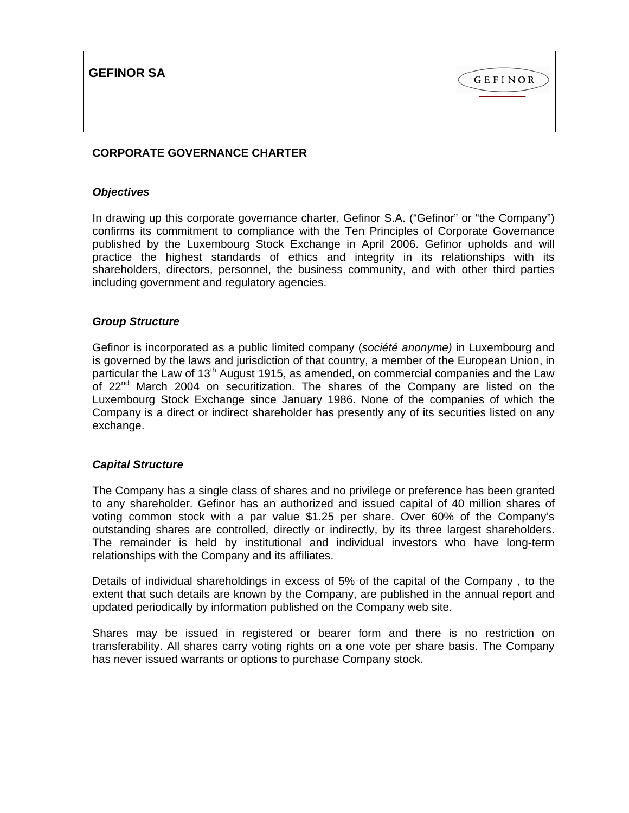**GEFINOR SA**



# **CORPORATE GOVERNANCE CHARTER**

### *Objectives*

In drawing up this corporate governance charter, Gefinor S.A. ("Gefinor" or "the Company") confirms its commitment to compliance with the Ten Principles of Corporate Governance published by the Luxembourg Stock Exchange in April 2006. Gefinor upholds and will practice the highest standards of ethics and integrity in its relationships with its shareholders, directors, personnel, the business community, and with other third parties including government and regulatory agencies.

### *Group Structure*

Gefinor is incorporated as a public limited company (*société anonyme)* in Luxembourg and is governed by the laws and jurisdiction of that country, a member of the European Union, in particular the Law of 13<sup>th</sup> August 1915, as amended, on commercial companies and the Law of  $22<sup>nd</sup>$  March 2004 on securitization. The shares of the Company are listed on the Luxembourg Stock Exchange since January 1986. None of the companies of which the Company is a direct or indirect shareholder has presently any of its securities listed on any exchange.

### *Capital Structure*

The Company has a single class of shares and no privilege or preference has been granted to any shareholder. Gefinor has an authorized and issued capital of 40 million shares of voting common stock with a par value \$1.25 per share. Over 60% of the Company's outstanding shares are controlled, directly or indirectly, by its three largest shareholders. The remainder is held by institutional and individual investors who have long-term relationships with the Company and its affiliates.

Details of individual shareholdings in excess of 5% of the capital of the Company , to the extent that such details are known by the Company, are published in the annual report and updated periodically by information published on the Company web site.

Shares may be issued in registered or bearer form and there is no restriction on transferability. All shares carry voting rights on a one vote per share basis. The Company has never issued warrants or options to purchase Company stock.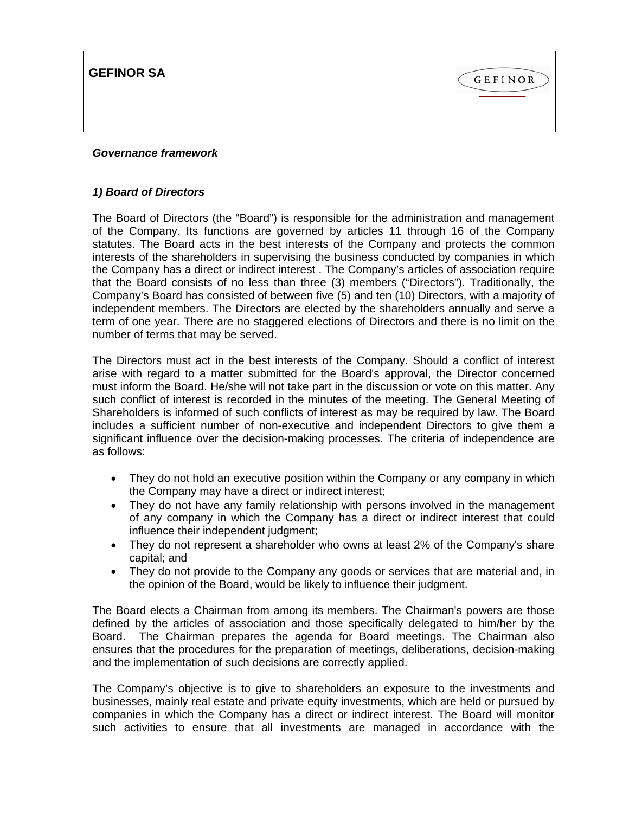**GEFINOR SA**



## *Governance framework*

## *1) Board of Directors*

The Board of Directors (the "Board") is responsible for the administration and management of the Company. Its functions are governed by articles 11 through 16 of the Company statutes. The Board acts in the best interests of the Company and protects the common interests of the shareholders in supervising the business conducted by companies in which the Company has a direct or indirect interest . The Company's articles of association require that the Board consists of no less than three (3) members ("Directors"). Traditionally, the Company's Board has consisted of between five (5) and ten (10) Directors, with a majority of independent members. The Directors are elected by the shareholders annually and serve a term of one year. There are no staggered elections of Directors and there is no limit on the number of terms that may be served.

The Directors must act in the best interests of the Company. Should a conflict of interest arise with regard to a matter submitted for the Board's approval, the Director concerned must inform the Board. He/she will not take part in the discussion or vote on this matter. Any such conflict of interest is recorded in the minutes of the meeting. The General Meeting of Shareholders is informed of such conflicts of interest as may be required by law. The Board includes a sufficient number of non-executive and independent Directors to give them a significant influence over the decision-making processes. The criteria of independence are as follows:

- They do not hold an executive position within the Company or any company in which the Company may have a direct or indirect interest;
- They do not have any family relationship with persons involved in the management of any company in which the Company has a direct or indirect interest that could influence their independent judgment;
- They do not represent a shareholder who owns at least 2% of the Company's share capital; and
- They do not provide to the Company any goods or services that are material and, in the opinion of the Board, would be likely to influence their judgment.

The Board elects a Chairman from among its members. The Chairman's powers are those defined by the articles of association and those specifically delegated to him/her by the Board. The Chairman prepares the agenda for Board meetings. The Chairman also ensures that the procedures for the preparation of meetings, deliberations, decision-making and the implementation of such decisions are correctly applied.

The Company's objective is to give to shareholders an exposure to the investments and businesses, mainly real estate and private equity investments, which are held or pursued by companies in which the Company has a direct or indirect interest. The Board will monitor such activities to ensure that all investments are managed in accordance with the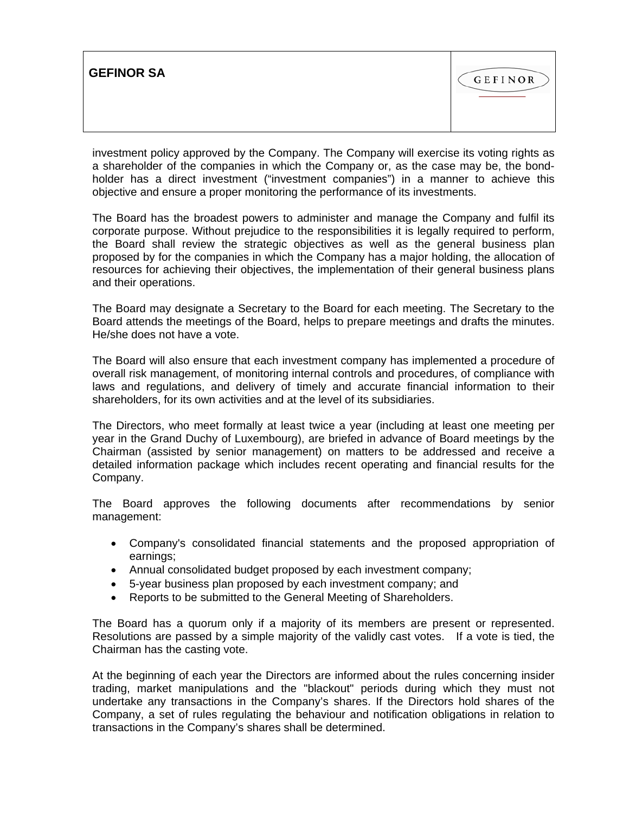| <b>GEFINOR SA</b> | GEFINOR |
|-------------------|---------|
|-------------------|---------|

investment policy approved by the Company. The Company will exercise its voting rights as a shareholder of the companies in which the Company or, as the case may be, the bondholder has a direct investment ("investment companies") in a manner to achieve this objective and ensure a proper monitoring the performance of its investments.

The Board has the broadest powers to administer and manage the Company and fulfil its corporate purpose. Without prejudice to the responsibilities it is legally required to perform, the Board shall review the strategic objectives as well as the general business plan proposed by for the companies in which the Company has a major holding, the allocation of resources for achieving their objectives, the implementation of their general business plans and their operations.

The Board may designate a Secretary to the Board for each meeting. The Secretary to the Board attends the meetings of the Board, helps to prepare meetings and drafts the minutes. He/she does not have a vote.

The Board will also ensure that each investment company has implemented a procedure of overall risk management, of monitoring internal controls and procedures, of compliance with laws and regulations, and delivery of timely and accurate financial information to their shareholders, for its own activities and at the level of its subsidiaries.

The Directors, who meet formally at least twice a year (including at least one meeting per year in the Grand Duchy of Luxembourg), are briefed in advance of Board meetings by the Chairman (assisted by senior management) on matters to be addressed and receive a detailed information package which includes recent operating and financial results for the Company.

The Board approves the following documents after recommendations by senior management:

- Company's consolidated financial statements and the proposed appropriation of earnings;
- Annual consolidated budget proposed by each investment company;
- 5-year business plan proposed by each investment company; and
- Reports to be submitted to the General Meeting of Shareholders.

The Board has a quorum only if a majority of its members are present or represented. Resolutions are passed by a simple majority of the validly cast votes. If a vote is tied, the Chairman has the casting vote.

At the beginning of each year the Directors are informed about the rules concerning insider trading, market manipulations and the "blackout" periods during which they must not undertake any transactions in the Company's shares. If the Directors hold shares of the Company, a set of rules regulating the behaviour and notification obligations in relation to transactions in the Company's shares shall be determined.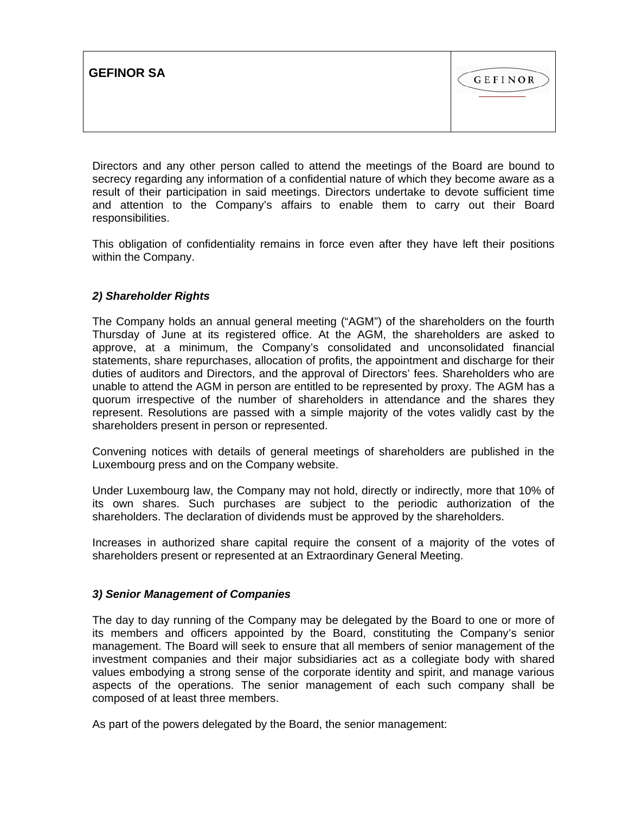| <b>GEFINOR SA</b><br>GEFINOR |  |
|------------------------------|--|
|------------------------------|--|

Directors and any other person called to attend the meetings of the Board are bound to secrecy regarding any information of a confidential nature of which they become aware as a result of their participation in said meetings. Directors undertake to devote sufficient time and attention to the Company's affairs to enable them to carry out their Board responsibilities.

This obligation of confidentiality remains in force even after they have left their positions within the Company.

## *2) Shareholder Rights*

The Company holds an annual general meeting ("AGM") of the shareholders on the fourth Thursday of June at its registered office. At the AGM, the shareholders are asked to approve, at a minimum, the Company's consolidated and unconsolidated financial statements, share repurchases, allocation of profits, the appointment and discharge for their duties of auditors and Directors, and the approval of Directors' fees. Shareholders who are unable to attend the AGM in person are entitled to be represented by proxy. The AGM has a quorum irrespective of the number of shareholders in attendance and the shares they represent. Resolutions are passed with a simple majority of the votes validly cast by the shareholders present in person or represented.

Convening notices with details of general meetings of shareholders are published in the Luxembourg press and on the Company website.

Under Luxembourg law, the Company may not hold, directly or indirectly, more that 10% of its own shares. Such purchases are subject to the periodic authorization of the shareholders. The declaration of dividends must be approved by the shareholders.

Increases in authorized share capital require the consent of a majority of the votes of shareholders present or represented at an Extraordinary General Meeting.

### *3) Senior Management of Companies*

The day to day running of the Company may be delegated by the Board to one or more of its members and officers appointed by the Board, constituting the Company's senior management. The Board will seek to ensure that all members of senior management of the investment companies and their major subsidiaries act as a collegiate body with shared values embodying a strong sense of the corporate identity and spirit, and manage various aspects of the operations. The senior management of each such company shall be composed of at least three members.

As part of the powers delegated by the Board, the senior management: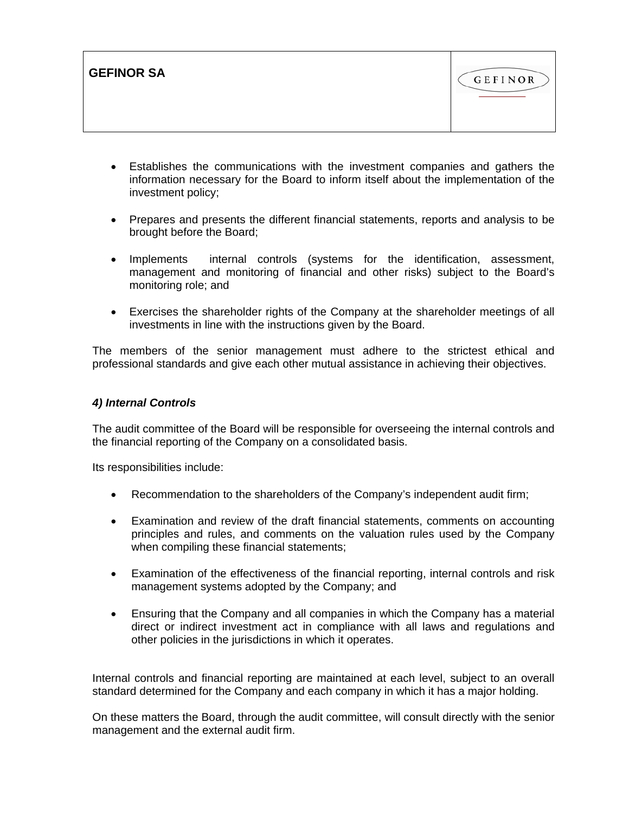| <b>GEFINOR SA</b> | GEFINOR |
|-------------------|---------|
|                   |         |

- Establishes the communications with the investment companies and gathers the information necessary for the Board to inform itself about the implementation of the investment policy;
- Prepares and presents the different financial statements, reports and analysis to be brought before the Board;
- Implements internal controls (systems for the identification, assessment, management and monitoring of financial and other risks) subject to the Board's monitoring role; and
- Exercises the shareholder rights of the Company at the shareholder meetings of all investments in line with the instructions given by the Board.

The members of the senior management must adhere to the strictest ethical and professional standards and give each other mutual assistance in achieving their objectives.

## *4) Internal Controls*

The audit committee of the Board will be responsible for overseeing the internal controls and the financial reporting of the Company on a consolidated basis.

Its responsibilities include:

- Recommendation to the shareholders of the Company's independent audit firm;
- Examination and review of the draft financial statements, comments on accounting principles and rules, and comments on the valuation rules used by the Company when compiling these financial statements;
- Examination of the effectiveness of the financial reporting, internal controls and risk management systems adopted by the Company; and
- Ensuring that the Company and all companies in which the Company has a material direct or indirect investment act in compliance with all laws and regulations and other policies in the jurisdictions in which it operates.

Internal controls and financial reporting are maintained at each level, subject to an overall standard determined for the Company and each company in which it has a major holding.

On these matters the Board, through the audit committee, will consult directly with the senior management and the external audit firm.